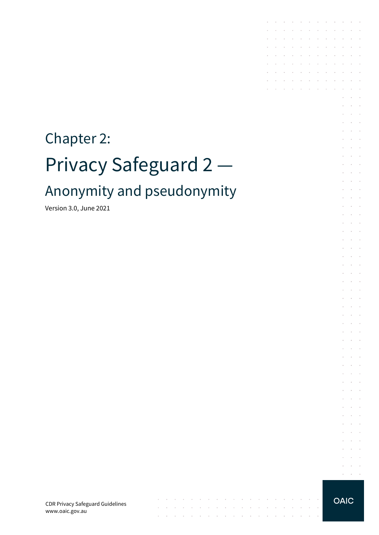# Chapter 2: Privacy Safeguard 2 — Anonymity and pseudonymity

Version 3.0, June 2021

CDR Privacy Safeguard Guidelines www.oaic.gov.au

 $\mathcal{A}$  is a set of the set of the set of the set of  $\mathcal{A}$ 

 $\mathcal{L}$ 

 $\sim$  $\sim$ 

the contract of the contract of the contract of the contract of the

 $\sim$ 

**OAIC** 

 $\sim 10^{-1}$  km

 $\sim 10^{-1}$ 

 $\sim$ 

 $\ddot{\phantom{a}}$  $\mathcal{L}_{\mathcal{A}}$  $\epsilon$  $\mathcal{L}^{\text{max}}$  , and  $\mathcal{L}^{\text{max}}$  $\alpha$  ,  $\beta$  ,  $\beta$  ,  $\beta$ 

the contract of the con-

and a state of the state

 $\sim$   $\sim$ 

 $\mathcal{L}^{\text{max}}$  and  $\mathcal{L}^{\text{max}}$ 

 $\sim$  $\sim$  $\sim$ 

**Contract Contract** 

 $\sim$  100  $\pm$ 

 $\sim$ 

 $\bar{z}$ 

÷  $\sim$  $\mathcal{L}^{\text{max}}$  $\ddot{\phantom{1}}$ 

 $\overline{\phantom{a}}$  $\mathcal{L}$  $\overline{\phantom{a}}$ 

 $\sim$  $\sim$   $\sim$ 

 $\epsilon$  $\sim$  $\mathcal{L}$  $\mathcal{L}_{\mathcal{A}}$  $\ddot{\phantom{a}}$ 

 $\sim$  $\sim$  $\overline{\phantom{a}}$  $\epsilon$ 

 $\epsilon$  $\mathcal{L}_{\mathcal{A}}$  $\ddot{\phantom{a}}$ 

 $\mathcal{L}$  $\sim$ 

 $\mathcal{L}^{\mathcal{L}}$  $\sim$  $\ddot{\phantom{a}}$ 

 $\epsilon$  $\sim$ 

 $\mathcal{L}$  $\mathcal{L}$  $\mathcal{L}$ 

 $\epsilon$  $\sim$  $\bar{a}$ 

 $\overline{\phantom{a}}$  $\mathcal{L}_{\mathcal{A}}$  $\epsilon$  $\sim$  100  $\mu$ 

à.  $\sim$  $\sim$ 

 $\sim$  $\mathcal{L}$  $\overline{\phantom{a}}$ 

 $\sim$  $\sim$   $\sim$ 

÷  $\sim$  $\sim$  $\sim$ 

÷.  $\mathcal{L}_{\mathcal{A}}$  $\sim$ 

 $\sim$  $\sim$  $\sim$ 

 $\mathcal{L}$  $\sim$  $\sim$  $\sim$  $\ddot{\phantom{1}}$  $\sim$  $\overline{\phantom{a}}$  $\sim$  $\sim$  $\overline{\phantom{a}}$ 

 $\overline{\phantom{a}}$ 

 $\overline{a}$ 

 $\overline{\phantom{a}}$  $\mathbb{R}^2$  $\sim$  $\sim$  $\sim$ 

 $\mathbb{R}$ 

J.  $\overline{\phantom{a}}$  $\sim$  $\sim$  $\sim$  $\sim$  $\sim$  $\sim$  $\sim$  $\sim$ 

 $\sim$ 

 $\mathcal{L} = \mathcal{L}$  $\sim 10^{-1}$ 

 $\epsilon$ 

 $\sim$ 

 $\sim$ 

 $\sim$  $\sim$ 

 $\mathcal{L}^{\text{max}}$ 

 $\sim$  $\sim$ 

 $\sim$ 

 $\mathcal{A}^{\mathcal{A}}$  ,  $\mathcal{A}^{\mathcal{A}}$  ,  $\mathcal{A}^{\mathcal{A}}$  ,  $\mathcal{A}^{\mathcal{A}}$  ,  $\mathcal{A}^{\mathcal{A}}$  ,  $\mathcal{A}^{\mathcal{A}}$  ,  $\mathcal{A}^{\mathcal{A}}$ 

and the company of the company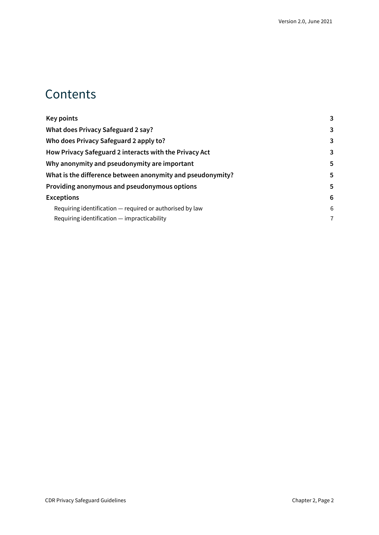#### **Contents**

| Key points                                                 | 3 |
|------------------------------------------------------------|---|
| What does Privacy Safeguard 2 say?                         | 3 |
| Who does Privacy Safeguard 2 apply to?                     | 3 |
| How Privacy Safeguard 2 interacts with the Privacy Act     | 3 |
| Why anonymity and pseudonymity are important               | 5 |
| What is the difference between anonymity and pseudonymity? | 5 |
| Providing anonymous and pseudonymous options               | 5 |
| <b>Exceptions</b>                                          | 6 |
| Requiring identification — required or authorised by law   | 6 |
| Requiring identification – impracticability                | 7 |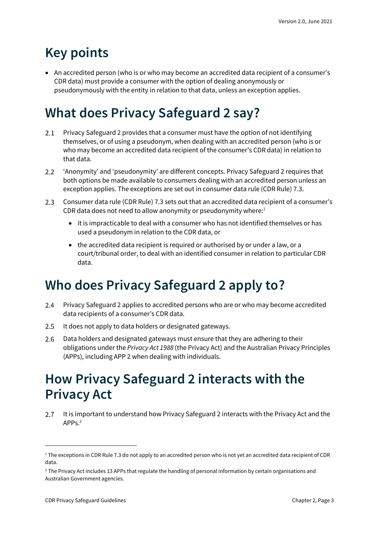### <span id="page-2-0"></span>**Key points**

• An accredited person (who is or who may become an accredited data recipient of a consumer's CDR data) must provide a consumer with the option of dealing anonymously or pseudonymously with the entity in relation to that data, unless an exception applies.

## <span id="page-2-1"></span>**What does Privacy Safeguard 2 say?**

- $2.1$ Privacy Safeguard 2 provides that a consumer must have the option of not identifying themselves, or of using a pseudonym, when dealing with an accredited person (who is or who may become an accredited data recipient of the consumer's CDR data) in relation to that data.
- $2.2$ 'Anonymity' and 'pseudonymity' are different concepts. Privacy Safeguard 2 requires that both options be made available to consumers dealing with an accredited person unless an exception applies. The exceptions are set out in consumer data rule (CDR Rule) 7.3.
- $2.3$ Consumer data rule (CDR Rule) 7.3 sets out that an accredited data recipient of a consumer's CDR data does not need to allow anonymity or pseudonymity where: $1$ 
	- it is impracticable to deal with a consumer who has not identified themselves or has used a pseudonym in relation to the CDR data, or
	- the accredited data recipient is required or authorised by or under a law, or a court/tribunal order, to deal with an identified consumer in relation to particular CDR data.

### <span id="page-2-2"></span>**Who does Privacy Safeguard 2 apply to?**

- $2.4$ Privacy Safeguard 2 applies to accredited persons who are or who may become accredited data recipients of a consumer's CDR data.
- $2.5$ It does not apply to data holders or designated gateways.
- 2.6 Data holders and designated gateways must ensure that they are adhering to their obligations under the *Privacy Act 1988* (the Privacy Act) and the Australian Privacy Principles (APPs), including APP 2 when dealing with individuals.

#### <span id="page-2-3"></span>**How Privacy Safeguard 2 interacts with the Privacy Act**

It is important to understand how Privacy Safeguard 2 interacts with the Privacy Act and the  $2.7$ APPs.<sup>2</sup>

<sup>&</sup>lt;sup>1</sup> The exceptions in CDR Rule 7.3 do not apply to an accredited person who is not yet an accredited data recipient of CDR data.

<sup>2</sup> The Privacy Act includes 13 APPs that regulate the handling of personal information by certain organisations and Australian Government agencies.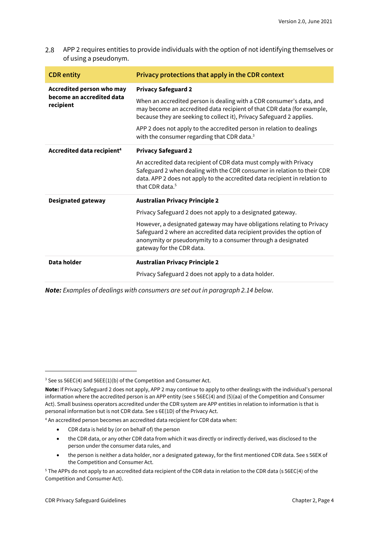2.8 APP 2 requires entities to provide individuals with the option of not identifying themselves or of using a pseudonym.

| <b>CDR</b> entity                                                   | Privacy protections that apply in the CDR context                                                                                                                                                                                                         |
|---------------------------------------------------------------------|-----------------------------------------------------------------------------------------------------------------------------------------------------------------------------------------------------------------------------------------------------------|
| Accredited person who may<br>become an accredited data<br>recipient | <b>Privacy Safeguard 2</b>                                                                                                                                                                                                                                |
|                                                                     | When an accredited person is dealing with a CDR consumer's data, and<br>may become an accredited data recipient of that CDR data (for example,<br>because they are seeking to collect it), Privacy Safeguard 2 applies.                                   |
|                                                                     | APP 2 does not apply to the accredited person in relation to dealings<br>with the consumer regarding that CDR data. <sup>3</sup>                                                                                                                          |
| Accredited data recipient <sup>4</sup>                              | <b>Privacy Safeguard 2</b>                                                                                                                                                                                                                                |
|                                                                     | An accredited data recipient of CDR data must comply with Privacy<br>Safeguard 2 when dealing with the CDR consumer in relation to their CDR<br>data. APP 2 does not apply to the accredited data recipient in relation to<br>that CDR data. <sup>5</sup> |
| <b>Designated gateway</b>                                           | <b>Australian Privacy Principle 2</b>                                                                                                                                                                                                                     |
|                                                                     | Privacy Safeguard 2 does not apply to a designated gateway.                                                                                                                                                                                               |
|                                                                     | However, a designated gateway may have obligations relating to Privacy<br>Safeguard 2 where an accredited data recipient provides the option of<br>anonymity or pseudonymity to a consumer through a designated<br>gateway for the CDR data.              |
| Data holder                                                         | <b>Australian Privacy Principle 2</b>                                                                                                                                                                                                                     |
|                                                                     | Privacy Safeguard 2 does not apply to a data holder.                                                                                                                                                                                                      |

*Note: Examples of dealings with consumers are set out in paragraph 2.14 below.*

<sup>4</sup> An accredited person becomes an accredited data recipient for CDR data when:

- CDR data is held by (or on behalf of) the person
- the CDR data, or any other CDR data from which it was directly or indirectly derived, was disclosed to the person under the consumer data rules, and
- the person is neither a data holder, nor a designated gateway, for the first mentioned CDR data. See s 56EK of the Competition and Consumer Act.

<sup>&</sup>lt;sup>3</sup> See ss 56EC(4) and 56EE(1)(b) of the Competition and Consumer Act.

**Note:** If Privacy Safeguard 2 does not apply, APP 2 may continue to apply to other dealings with the individual's personal information where the accredited person is an APP entity (see s 56EC(4) and (5)(aa) of the Competition and Consumer Act). Small business operators accredited under the CDR system are APP entities in relation to information is that is personal information but is not CDR data. See s 6E(1D) of the Privacy Act.

<sup>5</sup> The APPs do not apply to an accredited data recipient of the CDR data in relation to the CDR data (s 56EC(4) of the Competition and Consumer Act).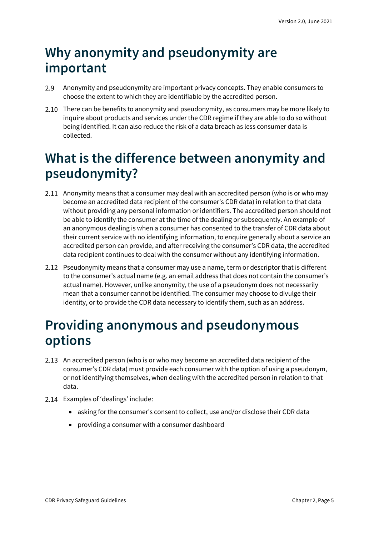#### <span id="page-4-0"></span>**Why anonymity and pseudonymity are important**

- 2.9 Anonymity and pseudonymity are important privacy concepts. They enable consumers to choose the extent to which they are identifiable by the accredited person.
- 2.10 There can be benefits to anonymity and pseudonymity, as consumers may be more likely to inquire about products and services under the CDR regime if they are able to do so without being identified. It can also reduce the risk of a data breach as less consumer data is collected.

#### <span id="page-4-1"></span>**What is the difference between anonymity and pseudonymity?**

- 2.11 Anonymity means that a consumer may deal with an accredited person (who is or who may become an accredited data recipient of the consumer's CDR data) in relation to that data without providing any personal information or identifiers. The accredited person should not be able to identify the consumer at the time of the dealing or subsequently. An example of an anonymous dealing is when a consumer has consented to the transfer of CDR data about their current service with no identifying information, to enquire generally about a service an accredited person can provide, and after receiving the consumer's CDR data, the accredited data recipient continues to deal with the consumer without any identifying information.
- 2.12 Pseudonymity means that a consumer may use a name, term or descriptor that is different to the consumer's actual name (e.g. an email address that does not contain the consumer's actual name). However, unlike anonymity, the use of a pseudonym does not necessarily mean that a consumer cannot be identified. The consumer may choose to divulge their identity, or to provide the CDR data necessary to identify them, such as an address.

#### <span id="page-4-2"></span>**Providing anonymous and pseudonymous options**

- 2.13 An accredited person (who is or who may become an accredited data recipient of the consumer's CDR data) must provide each consumer with the option of using a pseudonym, or not identifying themselves, when dealing with the accredited person in relation to that data.
- 2.14 Examples of 'dealings' include:
	- asking for the consumer's consent to collect, use and/or disclose their CDR data
	- providing a consumer with a consumer dashboard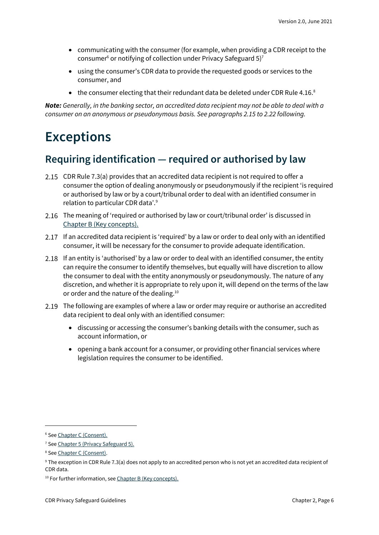- communicating with the consumer (for example, when providing a CDR receipt to the consumer<sup>6</sup> or notifying of collection under Privacy Safeguard 5)<sup>7</sup>
- using the consumer's CDR data to provide the requested goods or services to the consumer, and
- $\bullet$  the consumer electing that their redundant data be deleted under CDR Rule 4.16. $\textsuperscript{8}$

*Note: Generally, in the banking sector, an accredited data recipient may not be able to deal with a consumer on an anonymous or pseudonymous basis. See paragraphs 2.15 to 2.22 following.*

#### <span id="page-5-0"></span>**Exceptions**

#### <span id="page-5-1"></span>**Requiring identification — required or authorised by law**

- 2.15 CDR Rule 7.3(a) provides that an accredited data recipient is not required to offer a consumer the option of dealing anonymously or pseudonymously if the recipient 'is required or authorised by law or by a court/tribunal order to deal with an identified consumer in relation to particular CDR data'.<sup>9</sup>
- 2.16 The meaning of 'required or authorised by law or court/tribunal order' is discussed in [Chapter B \(Key concepts\).](https://www.oaic.gov.au/consumer-data-right/cdr-privacy-safeguard-guidelines/chapter-b-key-concepts)
- 2.17 If an accredited data recipient is 'required' by a law or order to deal only with an identified consumer, it will be necessary for the consumer to provide adequate identification.
- 2.18 If an entity is 'authorised' by a law or order to deal with an identified consumer, the entity can require the consumer to identify themselves, but equally will have discretion to allow the consumer to deal with the entity anonymously or pseudonymously. The nature of any discretion, and whether it is appropriate to rely upon it, will depend on the terms of the law or order and the nature of the dealing.<sup>10</sup>
- 2.19 The following are examples of where a law or order may require or authorise an accredited data recipient to deal only with an identified consumer:
	- discussing or accessing the consumer's banking details with the consumer, such as account information, or
	- opening a bank account for a consumer, or providing other financial services where legislation requires the consumer to be identified.

<sup>6</sup> Se[e Chapter C \(Consent\).](https://www.oaic.gov.au/consumer-data-right/cdr-privacy-safeguard-guidelines/chapter-c-consent-the-basis-for-collecting-and-using-cdr-data)

<sup>&</sup>lt;sup>7</sup> Se[e Chapter 5 \(Privacy Safeguard 5\).](https://www.oaic.gov.au/consumer-data-right/cdr-privacy-safeguard-guidelines/chapter-5-privacy-safeguard-5-notifying-of-the-collection-of-cdr-data)

<sup>&</sup>lt;sup>8</sup> Se[e Chapter C \(Consent\).](https://www.oaic.gov.au/consumer-data-right/cdr-privacy-safeguard-guidelines/chapter-c-consent-the-basis-for-collecting-and-using-cdr-data)

<sup>&</sup>lt;sup>9</sup> The exception in CDR Rule 7.3(a) does not apply to an accredited person who is not yet an accredited data recipient of CDR data.

<sup>&</sup>lt;sup>10</sup> For further information, se[e Chapter B \(Key concepts\).](https://www.oaic.gov.au/consumer-data-right/cdr-privacy-safeguard-guidelines/chapter-b-key-concepts)